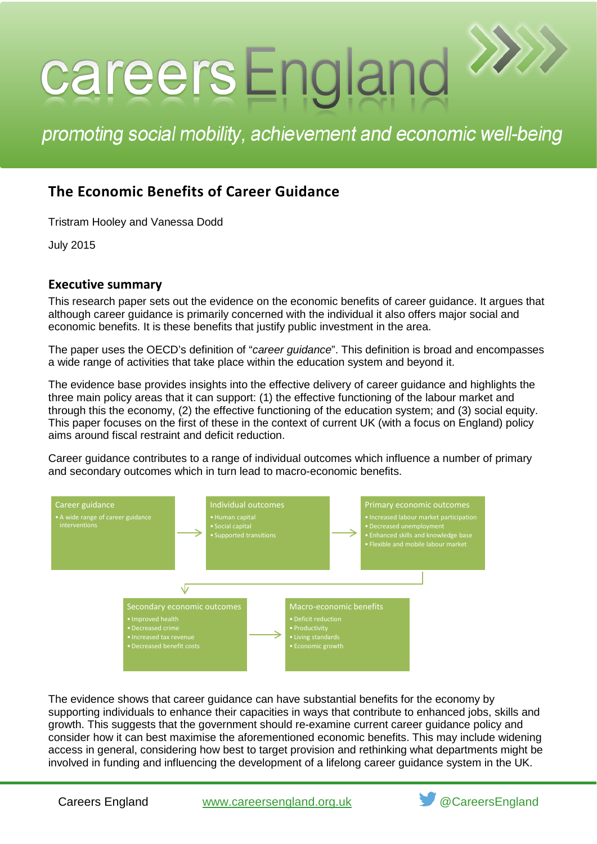# careers England

promoting social mobility, achievement and economic well-being

# **The Economic Benefits of Career Guidance**

Tristram Hooley and Vanessa Dodd

July 2015

#### **Executive summary**

This research paper sets out the evidence on the economic benefits of career guidance. It argues that although career guidance is primarily concerned with the individual it also offers major social and economic benefits. It is these benefits that justify public investment in the area.

The paper uses the OECD's definition of "*career guidance*". This definition is broad and encompasses a wide range of activities that take place within the education system and beyond it.

The evidence base provides insights into the effective delivery of career guidance and highlights the three main policy areas that it can support: (1) the effective functioning of the labour market and through this the economy, (2) the effective functioning of the education system; and (3) social equity. This paper focuses on the first of these in the context of current UK (with a focus on England) policy aims around fiscal restraint and deficit reduction.

Career guidance contributes to a range of individual outcomes which influence a number of primary and secondary outcomes which in turn lead to macro-economic benefits.



The evidence shows that career guidance can have substantial benefits for the economy by supporting individuals to enhance their capacities in ways that contribute to enhanced jobs, skills and growth. This suggests that the government should re-examine current career guidance policy and consider how it can best maximise the aforementioned economic benefits. This may include widening access in general, considering how best to target provision and rethinking what departments might be involved in funding and influencing the development of a lifelong career guidance system in the UK.

Careers England [www.careersengland.org.uk](http://www.careersengland.org.uk/) @CareersEngland

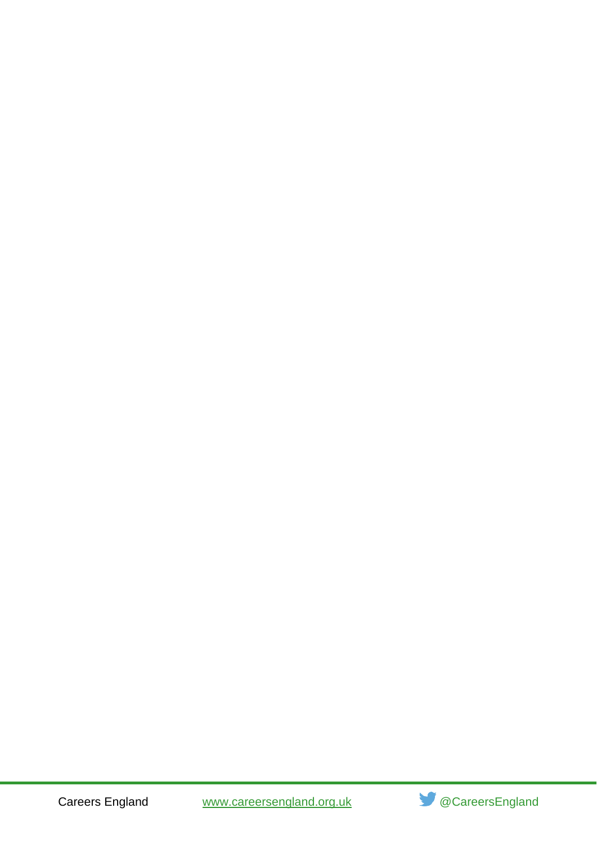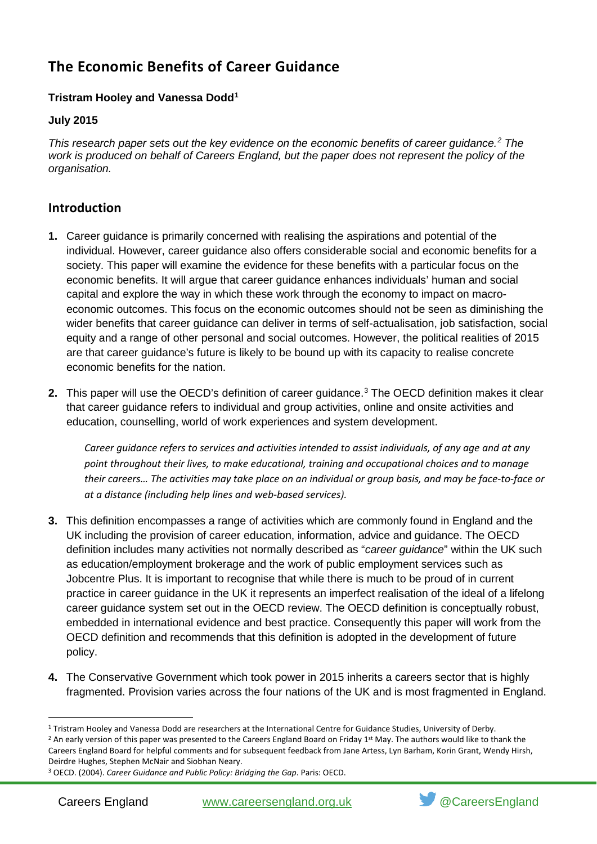# **The Economic Benefits of Career Guidance**

#### **Tristram Hooley and Vanessa Dodd[1](#page-2-0)**

#### **July 2015**

*This research paper sets out the key evidence on the economic benefits of career guidance. [2](#page-2-1) The work is produced on behalf of Careers England, but the paper does not represent the policy of the organisation.* 

## **Introduction**

- **1.** Career guidance is primarily concerned with realising the aspirations and potential of the individual. However, career guidance also offers considerable social and economic benefits for a society. This paper will examine the evidence for these benefits with a particular focus on the economic benefits. It will argue that career guidance enhances individuals' human and social capital and explore the way in which these work through the economy to impact on macroeconomic outcomes. This focus on the economic outcomes should not be seen as diminishing the wider benefits that career guidance can deliver in terms of self-actualisation, job satisfaction, social equity and a range of other personal and social outcomes. However, the political realities of 2015 are that career guidance's future is likely to be bound up with its capacity to realise concrete economic benefits for the nation.
- **2.** This paper will use the OECD's definition of career guidance.[3](#page-2-2) The OECD definition makes it clear that career guidance refers to individual and group activities, online and onsite activities and education, counselling, world of work experiences and system development.

*Career guidance refers to services and activities intended to assist individuals, of any age and at any point throughout their lives, to make educational, training and occupational choices and to manage their careers… The activities may take place on an individual or group basis, and may be face-to-face or at a distance (including help lines and web-based services).*

- **3.** This definition encompasses a range of activities which are commonly found in England and the UK including the provision of career education, information, advice and guidance. The OECD definition includes many activities not normally described as "*career guidance*" within the UK such as education/employment brokerage and the work of public employment services such as Jobcentre Plus. It is important to recognise that while there is much to be proud of in current practice in career guidance in the UK it represents an imperfect realisation of the ideal of a lifelong career guidance system set out in the OECD review. The OECD definition is conceptually robust, embedded in international evidence and best practice. Consequently this paper will work from the OECD definition and recommends that this definition is adopted in the development of future policy.
- **4.** The Conservative Government which took power in 2015 inherits a careers sector that is highly fragmented. Provision varies across the four nations of the UK and is most fragmented in England.



<span id="page-2-1"></span><span id="page-2-0"></span><sup>-</sup><sup>1</sup> Tristram Hooley and Vanessa Dodd are researchers at the International Centre for Guidance Studies, University of Derby.<br><sup>2</sup> An early version of this paper was presented to the Careers England Board on Friday 1<sup>st</sup> May. Careers England Board for helpful comments and for subsequent feedback from Jane Artess, Lyn Barham, Korin Grant, Wendy Hirsh, Deirdre Hughes, Stephen McNair and Siobhan Neary.

<span id="page-2-2"></span><sup>3</sup> OECD. (2004). *Career Guidance and Public Policy: Bridging the Gap*. Paris: OECD.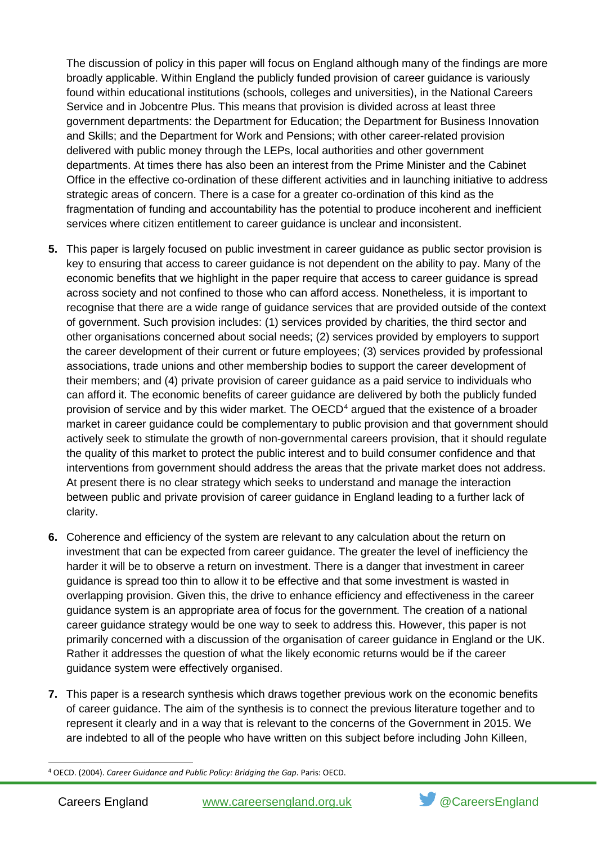The discussion of policy in this paper will focus on England although many of the findings are more broadly applicable. Within England the publicly funded provision of career guidance is variously found within educational institutions (schools, colleges and universities), in the National Careers Service and in Jobcentre Plus. This means that provision is divided across at least three government departments: the Department for Education; the Department for Business Innovation and Skills; and the Department for Work and Pensions; with other career-related provision delivered with public money through the LEPs, local authorities and other government departments. At times there has also been an interest from the Prime Minister and the Cabinet Office in the effective co-ordination of these different activities and in launching initiative to address strategic areas of concern. There is a case for a greater co-ordination of this kind as the fragmentation of funding and accountability has the potential to produce incoherent and inefficient services where citizen entitlement to career guidance is unclear and inconsistent.

- **5.** This paper is largely focused on public investment in career guidance as public sector provision is key to ensuring that access to career guidance is not dependent on the ability to pay. Many of the economic benefits that we highlight in the paper require that access to career guidance is spread across society and not confined to those who can afford access. Nonetheless, it is important to recognise that there are a wide range of guidance services that are provided outside of the context of government. Such provision includes: (1) services provided by charities, the third sector and other organisations concerned about social needs; (2) services provided by employers to support the career development of their current or future employees; (3) services provided by professional associations, trade unions and other membership bodies to support the career development of their members; and (4) private provision of career guidance as a paid service to individuals who can afford it. The economic benefits of career guidance are delivered by both the publicly funded provision of service and by this wider market. The OECD<sup>[4](#page-3-0)</sup> argued that the existence of a broader market in career guidance could be complementary to public provision and that government should actively seek to stimulate the growth of non-governmental careers provision, that it should regulate the quality of this market to protect the public interest and to build consumer confidence and that interventions from government should address the areas that the private market does not address. At present there is no clear strategy which seeks to understand and manage the interaction between public and private provision of career guidance in England leading to a further lack of clarity.
- **6.** Coherence and efficiency of the system are relevant to any calculation about the return on investment that can be expected from career guidance. The greater the level of inefficiency the harder it will be to observe a return on investment. There is a danger that investment in career guidance is spread too thin to allow it to be effective and that some investment is wasted in overlapping provision. Given this, the drive to enhance efficiency and effectiveness in the career guidance system is an appropriate area of focus for the government. The creation of a national career guidance strategy would be one way to seek to address this. However, this paper is not primarily concerned with a discussion of the organisation of career guidance in England or the UK. Rather it addresses the question of what the likely economic returns would be if the career guidance system were effectively organised.
- **7.** This paper is a research synthesis which draws together previous work on the economic benefits of career guidance. The aim of the synthesis is to connect the previous literature together and to represent it clearly and in a way that is relevant to the concerns of the Government in 2015. We are indebted to all of the people who have written on this subject before including John Killeen,

 $\overline{a}$ 



<span id="page-3-0"></span><sup>4</sup> OECD. (2004). *Career Guidance and Public Policy: Bridging the Gap*. Paris: OECD.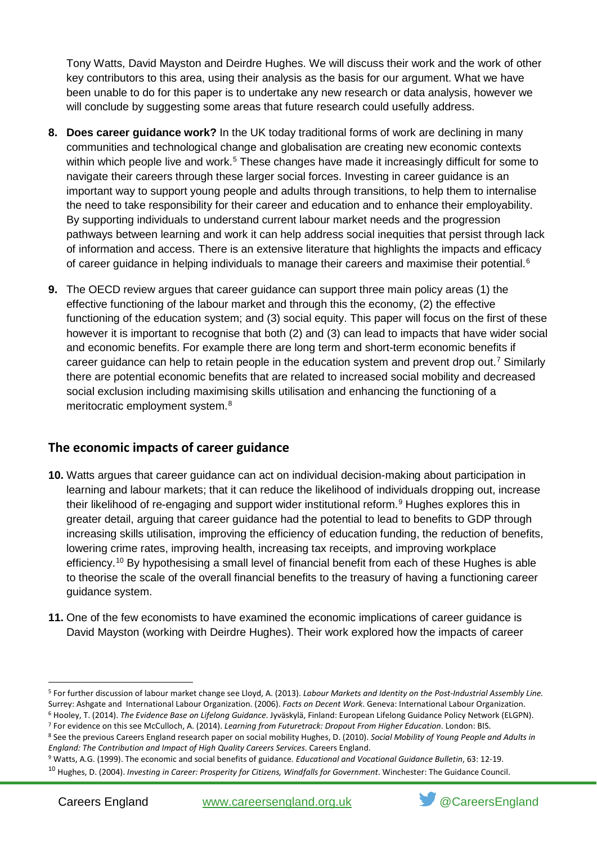Tony Watts, David Mayston and Deirdre Hughes. We will discuss their work and the work of other key contributors to this area, using their analysis as the basis for our argument. What we have been unable to do for this paper is to undertake any new research or data analysis, however we will conclude by suggesting some areas that future research could usefully address.

- **8. Does career guidance work?** In the UK today traditional forms of work are declining in many communities and technological change and globalisation are creating new economic contexts within which people live and work.<sup>[5](#page-4-0)</sup> These changes have made it increasingly difficult for some to navigate their careers through these larger social forces. Investing in career guidance is an important way to support young people and adults through transitions, to help them to internalise the need to take responsibility for their career and education and to enhance their employability. By supporting individuals to understand current labour market needs and the progression pathways between learning and work it can help address social inequities that persist through lack of information and access. There is an extensive literature that highlights the impacts and efficacy of career guidance in helping individuals to manage their careers and maximise their potential.<sup>[6](#page-4-1)</sup>
- **9.** The OECD review argues that career guidance can support three main policy areas (1) the effective functioning of the labour market and through this the economy, (2) the effective functioning of the education system; and (3) social equity. This paper will focus on the first of these however it is important to recognise that both (2) and (3) can lead to impacts that have wider social and economic benefits. For example there are long term and short-term economic benefits if career guidance can help to retain people in the education system and prevent drop out.<sup>[7](#page-4-2)</sup> Similarly there are potential economic benefits that are related to increased social mobility and decreased social exclusion including maximising skills utilisation and enhancing the functioning of a meritocratic employment system.<sup>[8](#page-4-3)</sup>

# **The economic impacts of career guidance**

- **10.** Watts argues that career guidance can act on individual decision-making about participation in learning and labour markets; that it can reduce the likelihood of individuals dropping out, increase their likelihood of re-engaging and support wider institutional reform.<sup>[9](#page-4-4)</sup> Hughes explores this in greater detail, arguing that career guidance had the potential to lead to benefits to GDP through increasing skills utilisation, improving the efficiency of education funding, the reduction of benefits, lowering crime rates, improving health, increasing tax receipts, and improving workplace efficiency.[10](#page-4-5) By hypothesising a small level of financial benefit from each of these Hughes is able to theorise the scale of the overall financial benefits to the treasury of having a functioning career guidance system.
- **11.** One of the few economists to have examined the economic implications of career guidance is David Mayston (working with Deirdre Hughes). Their work explored how the impacts of career

<span id="page-4-4"></span><sup>9</sup> Watts, A.G. (1999). The economic and social benefits of guidance*. Educational and Vocational Guidance Bulletin*, 63: 12-19.



<span id="page-4-0"></span><sup>5</sup> For further discussion of labour market change see Lloyd, A. (2013). *Labour Markets and Identity on the Post-Industrial Assembly Line.*  Surrey: Ashgate and International Labour Organization. (2006). *Facts on Decent Work*. Geneva: International Labour Organization.

<span id="page-4-1"></span><sup>6</sup> Hooley, T. (2014). *The Evidence Base on Lifelong Guidance*. Jyväskylä, Finland: European Lifelong Guidance Policy Network (ELGPN).

<span id="page-4-2"></span><sup>7</sup> For evidence on this see McCulloch, A. (2014). *Learning from Futuretrack: Dropout From Higher Education*. London: BIS.

<span id="page-4-3"></span><sup>8</sup> See the previous Careers England research paper on social mobility Hughes, D. (2010). *Social Mobility of Young People and Adults in England: The Contribution and Impact of High Quality Careers Services*. Careers England.

<span id="page-4-5"></span><sup>10</sup> Hughes, D. (2004). *Investing in Career: Prosperity for Citizens, Windfalls for Government*. Winchester: The Guidance Council.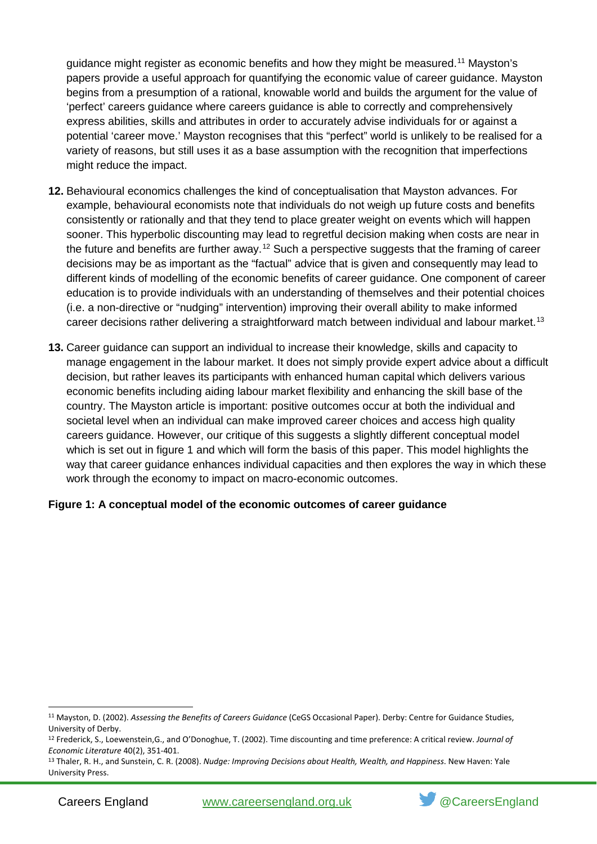guidance might register as economic benefits and how they might be measured.[11](#page-5-0) Mayston's papers provide a useful approach for quantifying the economic value of career guidance. Mayston begins from a presumption of a rational, knowable world and builds the argument for the value of 'perfect' careers guidance where careers guidance is able to correctly and comprehensively express abilities, skills and attributes in order to accurately advise individuals for or against a potential 'career move.' Mayston recognises that this "perfect" world is unlikely to be realised for a variety of reasons, but still uses it as a base assumption with the recognition that imperfections might reduce the impact.

- **12.** Behavioural economics challenges the kind of conceptualisation that Mayston advances. For example, behavioural economists note that individuals do not weigh up future costs and benefits consistently or rationally and that they tend to place greater weight on events which will happen sooner. This hyperbolic discounting may lead to regretful decision making when costs are near in the future and benefits are further away.<sup>[12](#page-5-1)</sup> Such a perspective suggests that the framing of career decisions may be as important as the "factual" advice that is given and consequently may lead to different kinds of modelling of the economic benefits of career guidance. One component of career education is to provide individuals with an understanding of themselves and their potential choices (i.e. a non-directive or "nudging" intervention) improving their overall ability to make informed career decisions rather delivering a straightforward match between individual and labour market.<sup>[13](#page-5-2)</sup>
- **13.** Career guidance can support an individual to increase their knowledge, skills and capacity to manage engagement in the labour market. It does not simply provide expert advice about a difficult decision, but rather leaves its participants with enhanced human capital which delivers various economic benefits including aiding labour market flexibility and enhancing the skill base of the country. The Mayston article is important: positive outcomes occur at both the individual and societal level when an individual can make improved career choices and access high quality careers guidance. However, our critique of this suggests a slightly different conceptual model which is set out in figure 1 and which will form the basis of this paper. This model highlights the way that career guidance enhances individual capacities and then explores the way in which these work through the economy to impact on macro-economic outcomes.

#### **Figure 1: A conceptual model of the economic outcomes of career guidance**



<span id="page-5-0"></span><sup>11</sup> Mayston, D. (2002). *Assessing the Benefits of Careers Guidance* (CeGS Occasional Paper). Derby: Centre for Guidance Studies, University of Derby.

<span id="page-5-1"></span><sup>12</sup> Frederick, S., Loewenstein,G., and O'Donoghue, T. (2002). Time discounting and time preference: A critical review. *Journal of Economic Literature* 40(2), 351-401.<br><sup>13</sup> Thaler, R. H., and Sunstein, C. R. (2008). *Nudge: Improving Decisions about Health, Wealth, and Happiness*. New Haven: Yale

<span id="page-5-2"></span>University Press.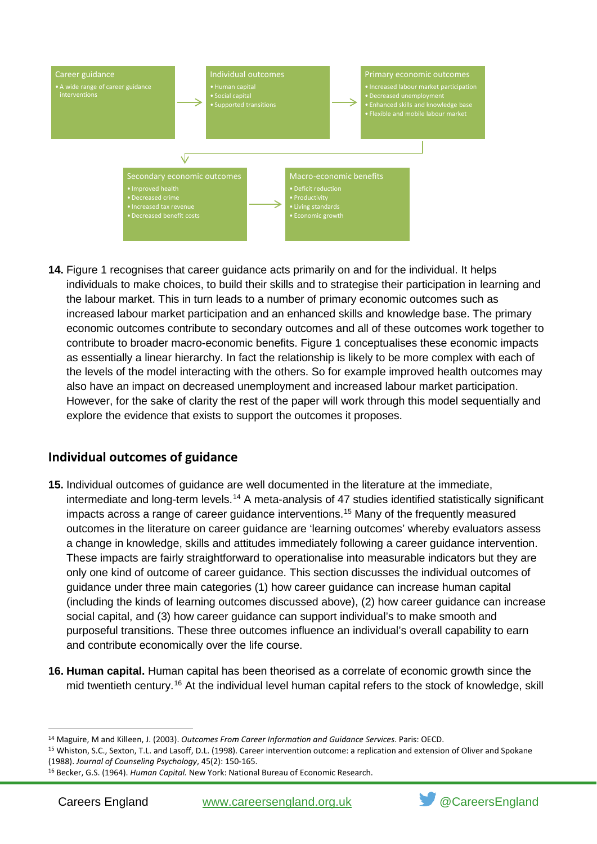

**14.** Figure 1 recognises that career guidance acts primarily on and for the individual. It helps individuals to make choices, to build their skills and to strategise their participation in learning and the labour market. This in turn leads to a number of primary economic outcomes such as increased labour market participation and an enhanced skills and knowledge base. The primary economic outcomes contribute to secondary outcomes and all of these outcomes work together to contribute to broader macro-economic benefits. Figure 1 conceptualises these economic impacts as essentially a linear hierarchy. In fact the relationship is likely to be more complex with each of the levels of the model interacting with the others. So for example improved health outcomes may also have an impact on decreased unemployment and increased labour market participation. However, for the sake of clarity the rest of the paper will work through this model sequentially and explore the evidence that exists to support the outcomes it proposes.

# **Individual outcomes of guidance**

- **15.** Individual outcomes of guidance are well documented in the literature at the immediate, intermediate and long-term levels.<sup>[14](#page-6-0)</sup> A meta-analysis of 47 studies identified statistically significant impacts across a range of career guidance interventions.<sup>[15](#page-6-1)</sup> Many of the frequently measured outcomes in the literature on career guidance are 'learning outcomes' whereby evaluators assess a change in knowledge, skills and attitudes immediately following a career guidance intervention. These impacts are fairly straightforward to operationalise into measurable indicators but they are only one kind of outcome of career guidance. This section discusses the individual outcomes of guidance under three main categories (1) how career guidance can increase human capital (including the kinds of learning outcomes discussed above), (2) how career guidance can increase social capital, and (3) how career guidance can support individual's to make smooth and purposeful transitions. These three outcomes influence an individual's overall capability to earn and contribute economically over the life course.
- **16. Human capital.** Human capital has been theorised as a correlate of economic growth since the mid twentieth century.<sup>[16](#page-6-2)</sup> At the individual level human capital refers to the stock of knowledge, skill

 $\overline{a}$ 



<span id="page-6-1"></span><span id="page-6-0"></span><sup>&</sup>lt;sup>14</sup> Maguire, M and Killeen, J. (2003). Outcomes From Career Information and Guidance Services. Paris: OECD.<br><sup>15</sup> Whiston, S.C., Sexton, T.L. and Lasoff, D.L. (1998). Career intervention outcome: a replication and extensio (1988). *Journal of Counseling Psychology*, 45(2): 150-165.

<span id="page-6-2"></span><sup>16</sup> Becker, G.S. (1964). *Human Capital.* New York: National Bureau of Economic Research.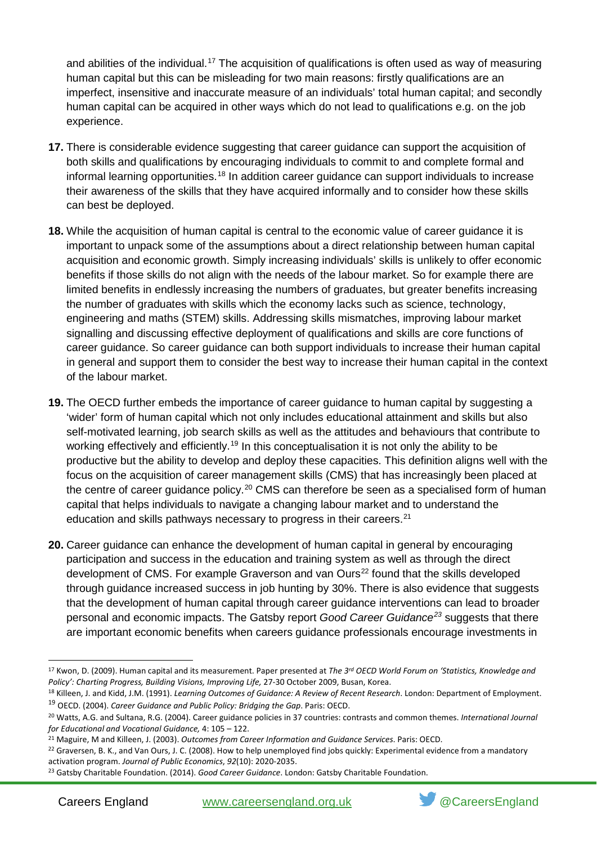and abilities of the individual.<sup>[17](#page-7-0)</sup> The acquisition of qualifications is often used as way of measuring human capital but this can be misleading for two main reasons: firstly qualifications are an imperfect, insensitive and inaccurate measure of an individuals' total human capital; and secondly human capital can be acquired in other ways which do not lead to qualifications e.g. on the job experience.

- **17.** There is considerable evidence suggesting that career guidance can support the acquisition of both skills and qualifications by encouraging individuals to commit to and complete formal and informal learning opportunities.<sup>[18](#page-7-1)</sup> In addition career guidance can support individuals to increase their awareness of the skills that they have acquired informally and to consider how these skills can best be deployed.
- **18.** While the acquisition of human capital is central to the economic value of career guidance it is important to unpack some of the assumptions about a direct relationship between human capital acquisition and economic growth. Simply increasing individuals' skills is unlikely to offer economic benefits if those skills do not align with the needs of the labour market. So for example there are limited benefits in endlessly increasing the numbers of graduates, but greater benefits increasing the number of graduates with skills which the economy lacks such as science, technology, engineering and maths (STEM) skills. Addressing skills mismatches, improving labour market signalling and discussing effective deployment of qualifications and skills are core functions of career guidance. So career guidance can both support individuals to increase their human capital in general and support them to consider the best way to increase their human capital in the context of the labour market.
- **19.** The OECD further embeds the importance of career guidance to human capital by suggesting a 'wider' form of human capital which not only includes educational attainment and skills but also self-motivated learning, job search skills as well as the attitudes and behaviours that contribute to working effectively and efficiently.<sup>[19](#page-7-2)</sup> In this conceptualisation it is not only the ability to be productive but the ability to develop and deploy these capacities. This definition aligns well with the focus on the acquisition of career management skills (CMS) that has increasingly been placed at the centre of career guidance policy.<sup>[20](#page-7-3)</sup> CMS can therefore be seen as a specialised form of human capital that helps individuals to navigate a changing labour market and to understand the education and skills pathways necessary to progress in their careers.<sup>21</sup>
- **20.** Career guidance can enhance the development of human capital in general by encouraging participation and success in the education and training system as well as through the direct development of CMS. For example Graverson and van Ours<sup>[22](#page-7-5)</sup> found that the skills developed through guidance increased success in job hunting by 30%. There is also evidence that suggests that the development of human capital through career guidance interventions can lead to broader personal and economic impacts. The Gatsby report *Good Career Guidance[23](#page-7-6)* suggests that there are important economic benefits when careers guidance professionals encourage investments in



<span id="page-7-0"></span> $\ddot{\phantom{a}}$ <sup>17</sup> Kwon, D. (2009). Human capital and its measurement. Paper presented at *The 3rd OECD World Forum on 'Statistics, Knowledge and*  Policy': Charting Progress, Building Visions, Improving Life, 27-30 October 2009, Busan, Korea.<br><sup>18</sup> Killeen, J. and Kidd, J.M. (1991). Learning Outcomes of Guidance: A Review of Recent Research. London: Department of Empl

<span id="page-7-2"></span><span id="page-7-1"></span><sup>19</sup> OECD. (2004). *Career Guidance and Public Policy: Bridging the Gap*. Paris: OECD.

<span id="page-7-3"></span><sup>20</sup> Watts, A.G. and Sultana, R.G. (2004). Career guidance policies in 37 countries: contrasts and common themes. *International Journal for Educational and Vocational Guidance,* 4: 105 – 122.

<span id="page-7-5"></span><span id="page-7-4"></span><sup>&</sup>lt;sup>21</sup> Maguire, M and Killeen, J. (2003). *Outcomes from Career Information and Guidance Services*. Paris: OECD.<br><sup>22</sup> Graversen, B. K., and Van Ours, J. C. (2008). How to help unemployed find jobs quickly: Experimental evide activation program. *Journal of Public Economics*, *92*(10): 2020-2035.

<span id="page-7-6"></span><sup>23</sup> Gatsby Charitable Foundation. (2014). *Good Career Guidance*. London: Gatsby Charitable Foundation.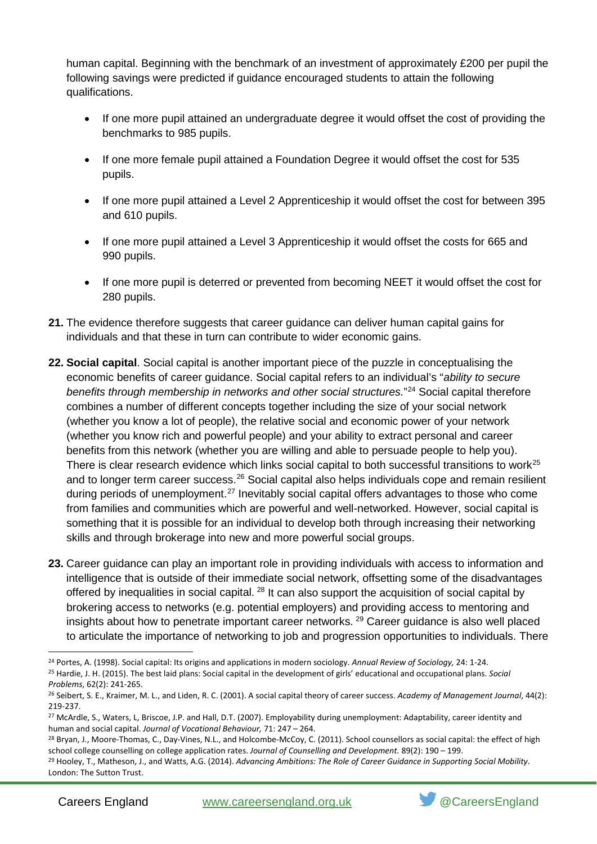human capital. Beginning with the benchmark of an investment of approximately £200 per pupil the following savings were predicted if guidance encouraged students to attain the following qualifications.

- If one more pupil attained an undergraduate degree it would offset the cost of providing the benchmarks to 985 pupils.
- If one more female pupil attained a Foundation Degree it would offset the cost for 535 pupils.
- If one more pupil attained a Level 2 Apprenticeship it would offset the cost for between 395 and 610 pupils.
- If one more pupil attained a Level 3 Apprenticeship it would offset the costs for 665 and 990 pupils.
- If one more pupil is deterred or prevented from becoming NEET it would offset the cost for 280 pupils.
- **21.** The evidence therefore suggests that career guidance can deliver human capital gains for individuals and that these in turn can contribute to wider economic gains.
- **22. Social capital**. Social capital is another important piece of the puzzle in conceptualising the economic benefits of career guidance. Social capital refers to an individual's "*ability to secure benefits through membership in networks and other social structures.*"[24](#page-8-0) Social capital therefore combines a number of different concepts together including the size of your social network (whether you know a lot of people), the relative social and economic power of your network (whether you know rich and powerful people) and your ability to extract personal and career benefits from this network (whether you are willing and able to persuade people to help you). There is clear research evidence which links social capital to both successful transitions to work<sup>[25](#page-8-1)</sup> and to longer term career success.<sup>[26](#page-8-2)</sup> Social capital also helps individuals cope and remain resilient during periods of unemployment.<sup>[27](#page-8-3)</sup> Inevitably social capital offers advantages to those who come from families and communities which are powerful and well-networked. However, social capital is something that it is possible for an individual to develop both through increasing their networking skills and through brokerage into new and more powerful social groups.
- **23.** Career guidance can play an important role in providing individuals with access to information and intelligence that is outside of their immediate social network, offsetting some of the disadvantages offered by inequalities in social capital. <sup>[28](#page-8-4)</sup> It can also support the acquisition of social capital by brokering access to networks (e.g. potential employers) and providing access to mentoring and insights about how to penetrate important career networks. [29](#page-8-5) Career guidance is also well placed to articulate the importance of networking to job and progression opportunities to individuals. There



 $\overline{a}$ <sup>24</sup> Portes, A. (1998). Social capital: Its origins and applications in modern sociology. Annual Review of Sociology, 24: 1-24.<br><sup>25</sup> Hardie, J. H. (2015). The best laid plans: Social capital in the development of girls' ed

<span id="page-8-1"></span><span id="page-8-0"></span>*Problems*, 62(2): 241-265.

<span id="page-8-2"></span><sup>26</sup> Seibert, S. E., Kraimer, M. L., and Liden, R. C. (2001). A social capital theory of career success. *Academy of Management Journal*, 44(2): 219-237.

<span id="page-8-3"></span><sup>27</sup> McArdle, S., Waters, L, Briscoe, J.P. and Hall, D.T. (2007). Employability during unemployment: Adaptability, career identity and human and social capital. *Journal of Vocational Behaviour,* 71: 247 – 264.

<span id="page-8-4"></span><sup>&</sup>lt;sup>28</sup> Bryan, J., Moore-Thomas, C., Day-Vines, N.L., and Holcombe-McCoy, C. (2011). School counsellors as social capital: the effect of high school college counselling on college application rates. *Journal of Counselling and Development.* 89(2): 190 – 199.

<span id="page-8-5"></span><sup>29</sup> Hooley, T., Matheson, J., and Watts, A.G. (2014). *Advancing Ambitions: The Role of Career Guidance in Supporting Social Mobility*. London: The Sutton Trust.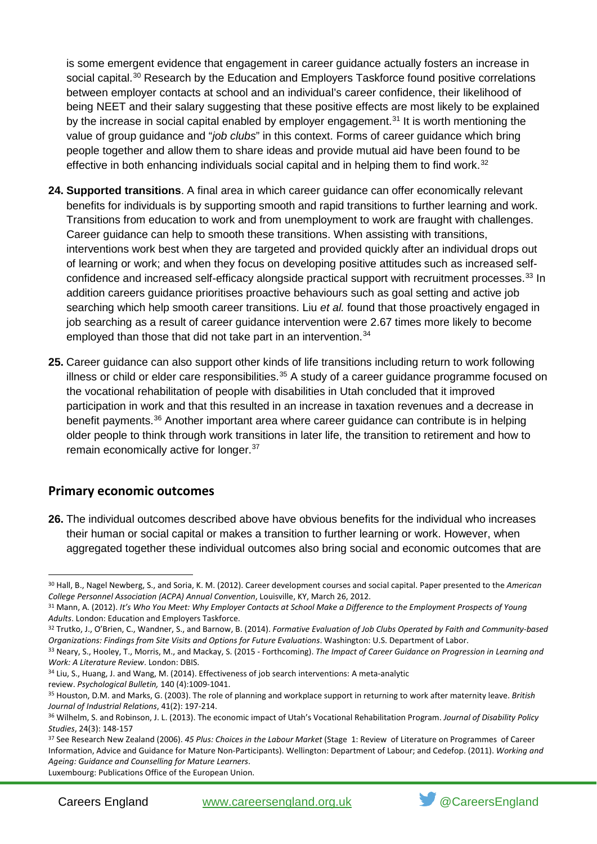is some emergent evidence that engagement in career guidance actually fosters an increase in social capital.<sup>[30](#page-9-0)</sup> Research by the Education and Employers Taskforce found positive correlations between employer contacts at school and an individual's career confidence, their likelihood of being NEET and their salary suggesting that these positive effects are most likely to be explained by the increase in social capital enabled by employer engagement.<sup>[31](#page-9-1)</sup> It is worth mentioning the value of group guidance and "*job clubs*" in this context. Forms of career guidance which bring people together and allow them to share ideas and provide mutual aid have been found to be effective in both enhancing individuals social capital and in helping them to find work.<sup>[32](#page-9-2)</sup>

- **24. Supported transitions**. A final area in which career guidance can offer economically relevant benefits for individuals is by supporting smooth and rapid transitions to further learning and work. Transitions from education to work and from unemployment to work are fraught with challenges. Career guidance can help to smooth these transitions. When assisting with transitions, interventions work best when they are targeted and provided quickly after an individual drops out of learning or work; and when they focus on developing positive attitudes such as increased selfconfidence and increased self-efficacy alongside practical support with recruitment processes.[33](#page-9-3) In addition careers guidance prioritises proactive behaviours such as goal setting and active job searching which help smooth career transitions. Liu *et al.* found that those proactively engaged in job searching as a result of career guidance intervention were 2.67 times more likely to become employed than those that did not take part in an intervention.<sup>[34](#page-9-4)</sup>
- **25.** Career guidance can also support other kinds of life transitions including return to work following illness or child or elder care responsibilities. $35$  A study of a career guidance programme focused on the vocational rehabilitation of people with disabilities in Utah concluded that it improved participation in work and that this resulted in an increase in taxation revenues and a decrease in benefit payments.<sup>[36](#page-9-6)</sup> Another important area where career guidance can contribute is in helping older people to think through work transitions in later life, the transition to retirement and how to remain economically active for longer.<sup>[37](#page-9-7)</sup>

# **Primary economic outcomes**

**26.** The individual outcomes described above have obvious benefits for the individual who increases their human or social capital or makes a transition to further learning or work. However, when aggregated together these individual outcomes also bring social and economic outcomes that are



<span id="page-9-0"></span><sup>-</sup><sup>30</sup> Hall, B., Nagel Newberg, S., and Soria, K. M. (2012). Career development courses and social capital. Paper presented to the *American College Personnel Association (ACPA) Annual Convention*, Louisville, KY, March 26, 2012.

<span id="page-9-1"></span><sup>31</sup> Mann, A. (2012). *It's Who You Meet: Why Employer Contacts at School Make a Difference to the Employment Prospects of Young*  Adults. London: Education and Employers Taskforce.<br><sup>32</sup> Trutko, J., O'Brien, C., Wandner, S., and Barnow, B. (2014). *Formative Evaluation of Job Clubs Operated by Faith and Community-based* 

<span id="page-9-2"></span>*Organizations: Findings from Site Visits and Options for Future Evaluations*. Washington: U.S. Department of Labor.

<span id="page-9-3"></span><sup>33</sup> Neary, S., Hooley, T., Morris, M., and Mackay, S. (2015 - Forthcoming). *The Impact of Career Guidance on Progression in Learning and Work: A Literature Review.* London: DBIS.<br><sup>34</sup> Liu, S., Huang, J. and Wang, M. (2014). Effectiveness of job search interventions: A meta-analytic

<span id="page-9-4"></span>

review. *Psychological Bulletin,* 140 (4):1009-1041.

<span id="page-9-5"></span><sup>35</sup> Houston, D.M. and Marks, G. (2003). The role of planning and workplace support in returning to work after maternity leave. *British Journal of Industrial Relations*, 41(2): 197-214.

<span id="page-9-6"></span><sup>36</sup> Wilhelm, S. and Robinson, J. L. (2013). The economic impact of Utah's Vocational Rehabilitation Program. *Journal of Disability Policy Studies*, 24(3): 148-157

<span id="page-9-7"></span><sup>37</sup> See Research New Zealand (2006). *45 Plus: Choices in the Labour Market* (Stage 1: Review of Literature on Programmes of Career Information, Advice and Guidance for Mature Non-Participants). Wellington: Department of Labour; and Cedefop. (2011). *Working and Ageing: Guidance and Counselling for Mature Learners*.

Luxembourg: Publications Office of the European Union.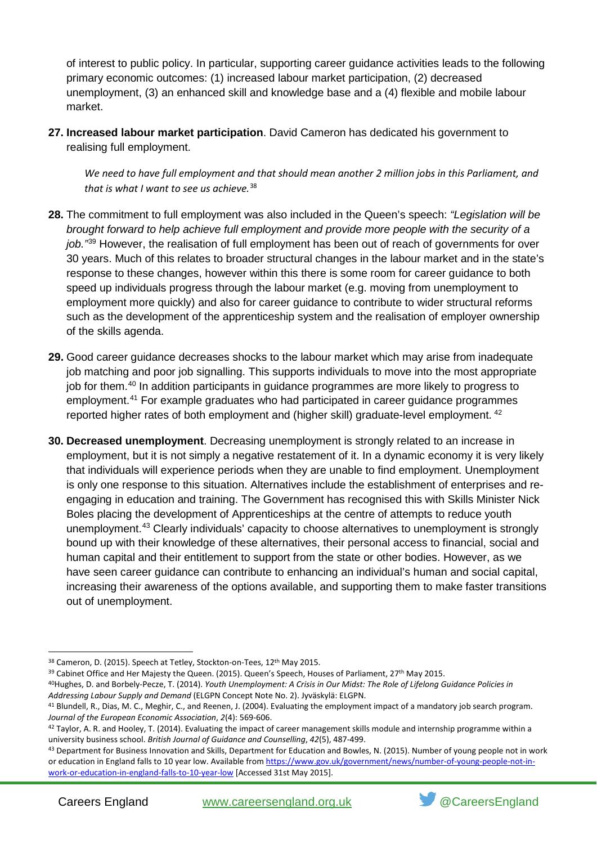of interest to public policy. In particular, supporting career guidance activities leads to the following primary economic outcomes: (1) increased labour market participation, (2) decreased unemployment, (3) an enhanced skill and knowledge base and a (4) flexible and mobile labour market.

**27. Increased labour market participation**. David Cameron has dedicated his government to realising full employment.

*We need to have full employment and that should mean another 2 million jobs in this Parliament, and that is what I want to see us achieve.*[38](#page-10-0)

- **28.** The commitment to full employment was also included in the Queen's speech: *"Legislation will be brought forward to help achieve full employment and provide more people with the security of a job."*[39](#page-10-1) However, the realisation of full employment has been out of reach of governments for over 30 years. Much of this relates to broader structural changes in the labour market and in the state's response to these changes, however within this there is some room for career guidance to both speed up individuals progress through the labour market (e.g. moving from unemployment to employment more quickly) and also for career guidance to contribute to wider structural reforms such as the development of the apprenticeship system and the realisation of employer ownership of the skills agenda.
- **29.** Good career guidance decreases shocks to the labour market which may arise from inadequate job matching and poor job signalling. This supports individuals to move into the most appropriate job for them.<sup>[40](#page-10-2)</sup> In addition participants in guidance programmes are more likely to progress to employment.[41](#page-10-3) For example graduates who had participated in career guidance programmes reported higher rates of both employment and (higher skill) graduate-level employment. [42](#page-10-4)
- **30. Decreased unemployment**. Decreasing unemployment is strongly related to an increase in employment, but it is not simply a negative restatement of it. In a dynamic economy it is very likely that individuals will experience periods when they are unable to find employment. Unemployment is only one response to this situation. Alternatives include the establishment of enterprises and reengaging in education and training. The Government has recognised this with Skills Minister Nick Boles placing the development of Apprenticeships at the centre of attempts to reduce youth unemployment.[43](#page-10-5) Clearly individuals' capacity to choose alternatives to unemployment is strongly bound up with their knowledge of these alternatives, their personal access to financial, social and human capital and their entitlement to support from the state or other bodies. However, as we have seen career guidance can contribute to enhancing an individual's human and social capital, increasing their awareness of the options available, and supporting them to make faster transitions out of unemployment.



 $\overline{a}$ 

<span id="page-10-1"></span><span id="page-10-0"></span><sup>&</sup>lt;sup>38</sup> Cameron, D. (2015). Speech at Tetley, Stockton-on-Tees, 12<sup>th</sup> May 2015.<br><sup>39</sup> Cabinet Office and Her Majesty the Queen. (2015). Queen's Speech, Houses of Parliament, 27<sup>th</sup> May 2015.<br><sup>40</sup>Hughes, D. and Borbely-Pecze, *Addressing Labour Supply and Demand* (ELGPN Concept Note No. 2). Jyväskylä: ELGPN.

<span id="page-10-3"></span><span id="page-10-2"></span><sup>41</sup> Blundell, R., Dias, M. C., Meghir, C., and Reenen, J. (2004). Evaluating the employment impact of a mandatory job search program. *Journal of the European Economic Association*, *2*(4): 569-606.

<span id="page-10-4"></span><sup>42</sup> Taylor, A. R. and Hooley, T. (2014). Evaluating the impact of career management skills module and internship programme within a university business school. *British Journal of Guidance and Counselling*, *42*(5), 487-499.

<span id="page-10-5"></span><sup>43</sup> Department for Business Innovation and Skills, Department for Education and Bowles, N. (2015). Number of young people not in work or education in England falls to 10 year low. Available fro[m https://www.gov.uk/government/news/number-of-young-people-not-in](https://www.gov.uk/government/news/number-of-young-people-not-in-work-or-education-in-england-falls-to-10-year-low)[work-or-education-in-england-falls-to-10-year-low](https://www.gov.uk/government/news/number-of-young-people-not-in-work-or-education-in-england-falls-to-10-year-low) [Accessed 31st May 2015].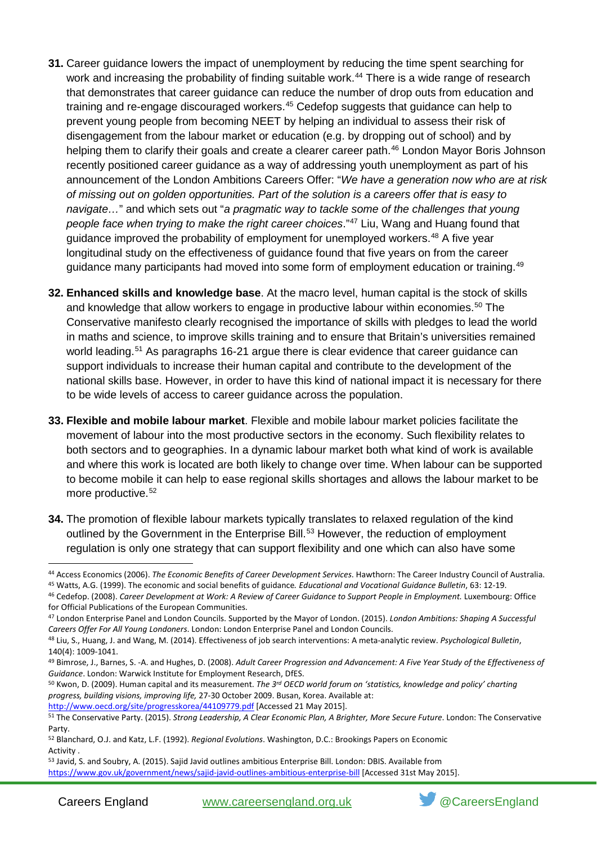- **31.** Career guidance lowers the impact of unemployment by reducing the time spent searching for work and increasing the probability of finding suitable work.<sup>[44](#page-11-0)</sup> There is a wide range of research that demonstrates that career guidance can reduce the number of drop outs from education and training and re-engage discouraged workers.<sup>[45](#page-11-1)</sup> Cedefop suggests that guidance can help to prevent young people from becoming NEET by helping an individual to assess their risk of disengagement from the labour market or education (e.g. by dropping out of school) and by helping them to clarify their goals and create a clearer career path.<sup>[46](#page-11-2)</sup> London Mayor Boris Johnson recently positioned career guidance as a way of addressing youth unemployment as part of his announcement of the London Ambitions Careers Offer: "*We have a generation now who are at risk of missing out on golden opportunities. Part of the solution is a careers offer that is easy to navigate…*" and which sets out "*a pragmatic way to tackle some of the challenges that young people face when trying to make the right career choices*."[47](#page-11-3) Liu, Wang and Huang found that guidance improved the probability of employment for unemployed workers.<sup>[48](#page-11-4)</sup> A five year longitudinal study on the effectiveness of guidance found that five years on from the career guidance many participants had moved into some form of employment education or training.<sup>[49](#page-11-5)</sup>
- **32. Enhanced skills and knowledge base**. At the macro level, human capital is the stock of skills and knowledge that allow workers to engage in productive labour within economies.<sup>[50](#page-11-6)</sup> The Conservative manifesto clearly recognised the importance of skills with pledges to lead the world in maths and science, to improve skills training and to ensure that Britain's universities remained world leading.<sup>[51](#page-11-7)</sup> As paragraphs 16-21 argue there is clear evidence that career guidance can support individuals to increase their human capital and contribute to the development of the national skills base. However, in order to have this kind of national impact it is necessary for there to be wide levels of access to career guidance across the population.
- **33. Flexible and mobile labour market**. Flexible and mobile labour market policies facilitate the movement of labour into the most productive sectors in the economy. Such flexibility relates to both sectors and to geographies. In a dynamic labour market both what kind of work is available and where this work is located are both likely to change over time. When labour can be supported to become mobile it can help to ease regional skills shortages and allows the labour market to be more productive.<sup>[52](#page-11-8)</sup>
- **34.** The promotion of flexible labour markets typically translates to relaxed regulation of the kind outlined by the Government in the Enterprise Bill.<sup>[53](#page-11-9)</sup> However, the reduction of employment regulation is only one strategy that can support flexibility and one which can also have some



<span id="page-11-0"></span> $\ddot{\phantom{a}}$ <sup>44</sup> Access Economics (2006). *The Economic Benefits of Career Development Services*. Hawthorn: The Career Industry Council of Australia.

<span id="page-11-1"></span><sup>45</sup> Watts, A.G. (1999). The economic and social benefits of guidance*. Educational and Vocational Guidance Bulletin*, 63: 12-19.

<span id="page-11-2"></span><sup>46</sup> Cedefop. (2008). *Career Development at Work: A Review of Career Guidance to Support People in Employment.* Luxembourg: Office for Official Publications of the European Communities.

<span id="page-11-3"></span><sup>47</sup> London Enterprise Panel and London Councils. Supported by the Mayor of London. (2015). *London Ambitions: Shaping A Successful*  Careers Offer For All Young Londoners. London: London Enterprise Panel and London Councils.<br><sup>48</sup> Liu, S., Huang, J. and Wang, M. (2014). Effectiveness of job search interventions: A meta-analytic review. Psychological Bull

<span id="page-11-4"></span><sup>140(4):</sup> 1009-1041. 49 Bimrose, J., Barnes, S. -A. and Hughes, D. (2008). *Adult Career Progression and Advancement: A Five Year Study of the Effectiveness of* 

<span id="page-11-5"></span>*Guidance*. London: Warwick Institute for Employment Research, DfES.

<span id="page-11-6"></span><sup>50</sup> Kwon, D. (2009). Human capital and its measurement. *The 3rd OECD world forum on 'statistics, knowledge and policy' charting progress, building visions, improving life,* 27-30 October 2009. Busan, Korea. Available at:

<http://www.oecd.org/site/progresskorea/44109779.pdf> [Accessed 21 May 2015].

<span id="page-11-7"></span><sup>51</sup> The Conservative Party. (2015). *Strong Leadership, A Clear Economic Plan, A Brighter, More Secure Future*. London: The Conservative Party.

<span id="page-11-8"></span><sup>52</sup> Blanchard, O.J. and Katz, L.F. (1992). *Regional Evolutions*. Washington, D.C.: Brookings Papers on Economic Activity .

<span id="page-11-9"></span><sup>53</sup> Javid, S. and Soubry, A. (2015). Sajid Javid outlines ambitious Enterprise Bill. London: DBIS. Available from <https://www.gov.uk/government/news/sajid-javid-outlines-ambitious-enterprise-bill> [Accessed 31st May 2015].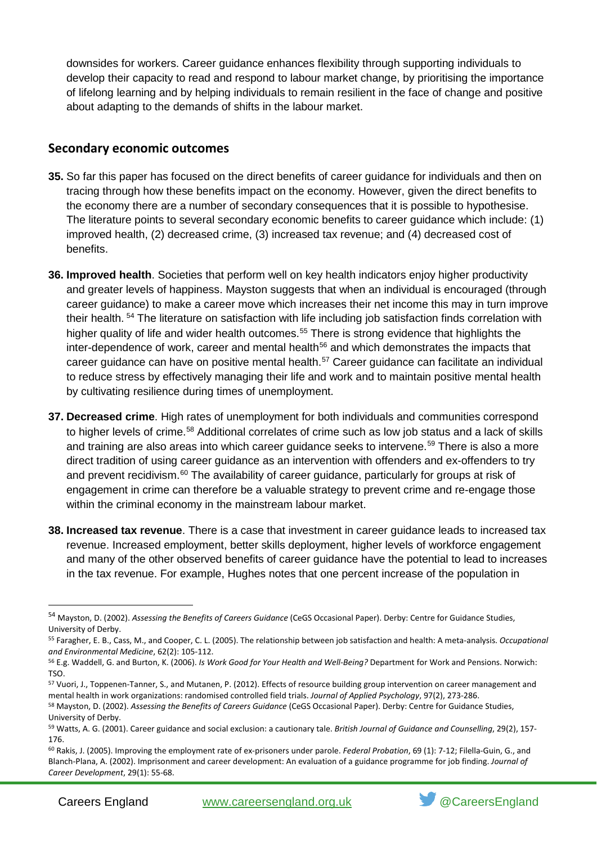downsides for workers. Career guidance enhances flexibility through supporting individuals to develop their capacity to read and respond to labour market change, by prioritising the importance of lifelong learning and by helping individuals to remain resilient in the face of change and positive about adapting to the demands of shifts in the labour market.

## **Secondary economic outcomes**

- **35.** So far this paper has focused on the direct benefits of career guidance for individuals and then on tracing through how these benefits impact on the economy. However, given the direct benefits to the economy there are a number of secondary consequences that it is possible to hypothesise. The literature points to several secondary economic benefits to career guidance which include: (1) improved health, (2) decreased crime, (3) increased tax revenue; and (4) decreased cost of benefits.
- **36. Improved health**. Societies that perform well on key health indicators enjoy higher productivity and greater levels of happiness. Mayston suggests that when an individual is encouraged (through career guidance) to make a career move which increases their net income this may in turn improve their health. [54](#page-12-0) The literature on satisfaction with life including job satisfaction finds correlation with higher quality of life and wider health outcomes.<sup>[55](#page-12-1)</sup> There is strong evidence that highlights the inter-dependence of work, career and mental health<sup>[56](#page-12-2)</sup> and which demonstrates the impacts that career guidance can have on positive mental health.<sup>[57](#page-12-3)</sup> Career guidance can facilitate an individual to reduce stress by effectively managing their life and work and to maintain positive mental health by cultivating resilience during times of unemployment.
- **37. Decreased crime**. High rates of unemployment for both individuals and communities correspond to higher levels of crime.[58](#page-12-4) Additional correlates of crime such as low job status and a lack of skills and training are also areas into which career guidance seeks to intervene.<sup>[59](#page-12-5)</sup> There is also a more direct tradition of using career guidance as an intervention with offenders and ex-offenders to try and prevent recidivism.<sup>[60](#page-12-6)</sup> The availability of career guidance, particularly for groups at risk of engagement in crime can therefore be a valuable strategy to prevent crime and re-engage those within the criminal economy in the mainstream labour market.
- **38. Increased tax revenue**. There is a case that investment in career guidance leads to increased tax revenue. Increased employment, better skills deployment, higher levels of workforce engagement and many of the other observed benefits of career guidance have the potential to lead to increases in the tax revenue. For example, Hughes notes that one percent increase of the population in



<span id="page-12-0"></span><sup>54</sup> Mayston, D. (2002). *Assessing the Benefits of Careers Guidance* (CeGS Occasional Paper). Derby: Centre for Guidance Studies, University of Derby.

<span id="page-12-1"></span><sup>55</sup> Faragher, E. B., Cass, M., and Cooper, C. L. (2005). The relationship between job satisfaction and health: A meta-analysis. *Occupational and Environmental Medicine*, 62(2): 105-112.

<span id="page-12-2"></span><sup>56</sup> E.g. Waddell, G. and Burton, K. (2006). *Is Work Good for Your Health and Well-Being?* Department for Work and Pensions. Norwich: TSO.

<span id="page-12-3"></span><sup>57</sup> Vuori, J., Toppenen-Tanner, S., and Mutanen, P. (2012). Effects of resource building group intervention on career management and mental health in work organizations: randomised controlled field trials. *Journal of Applied Psychology*, 97(2), 273-286.

<span id="page-12-4"></span><sup>58</sup> Mayston, D. (2002). *Assessing the Benefits of Careers Guidance* (CeGS Occasional Paper). Derby: Centre for Guidance Studies, University of Derby.

<span id="page-12-5"></span><sup>59</sup> Watts, A. G. (2001). Career guidance and social exclusion: a cautionary tale. *British Journal of Guidance and Counselling*, 29(2), 157- 176.

<span id="page-12-6"></span><sup>60</sup> Rakis, J. (2005). Improving the employment rate of ex-prisoners under parole. *Federal Probation*, 69 (1): 7-12; Filella-Guin, G., and Blanch-Plana, A. (2002). Imprisonment and career development: An evaluation of a guidance programme for job finding. *Journal of Career Development*, 29(1): 55-68.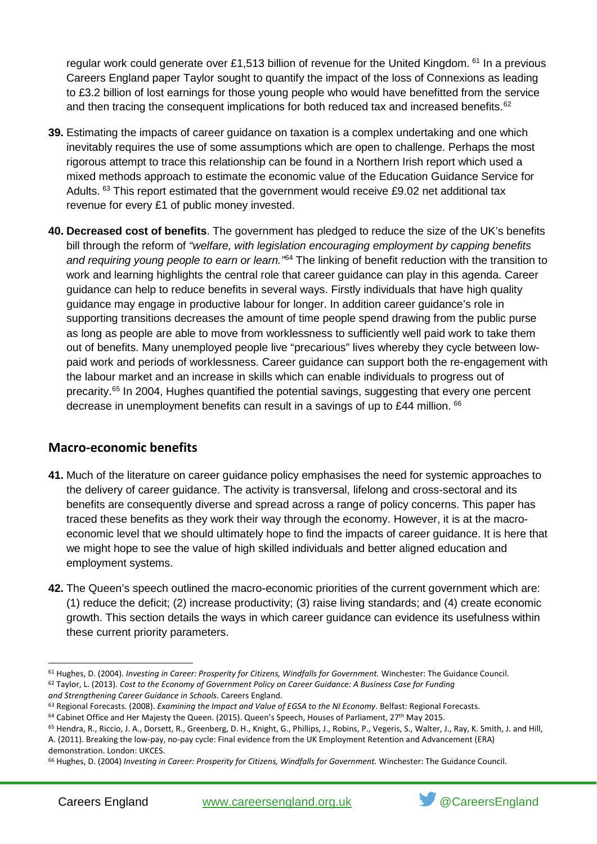regular work could generate over £1,513 billion of revenue for the United Kingdom.  $61$  In a previous Careers England paper Taylor sought to quantify the impact of the loss of Connexions as leading to £3.2 billion of lost earnings for those young people who would have benefitted from the service and then tracing the consequent implications for both reduced tax and increased benefits.<sup>[62](#page-13-1)</sup>

- **39.** Estimating the impacts of career guidance on taxation is a complex undertaking and one which inevitably requires the use of some assumptions which are open to challenge. Perhaps the most rigorous attempt to trace this relationship can be found in a Northern Irish report which used a mixed methods approach to estimate the economic value of the Education Guidance Service for Adults. [63](#page-13-2) This report estimated that the government would receive £9.02 net additional tax revenue for every £1 of public money invested.
- **40. Decreased cost of benefits**. The government has pledged to reduce the size of the UK's benefits bill through the reform of *"welfare, with legislation encouraging employment by capping benefits and requiring young people to earn or learn."*[64](#page-13-3) The linking of benefit reduction with the transition to work and learning highlights the central role that career guidance can play in this agenda. Career guidance can help to reduce benefits in several ways. Firstly individuals that have high quality guidance may engage in productive labour for longer. In addition career guidance's role in supporting transitions decreases the amount of time people spend drawing from the public purse as long as people are able to move from worklessness to sufficiently well paid work to take them out of benefits. Many unemployed people live "precarious" lives whereby they cycle between lowpaid work and periods of worklessness. Career guidance can support both the re-engagement with the labour market and an increase in skills which can enable individuals to progress out of precarity.[65](#page-13-4) In 2004, Hughes quantified the potential savings, suggesting that every one percent decrease in unemployment benefits can result in a savings of up to £44 million. <sup>[66](#page-13-5)</sup>

### **Macro-economic benefits**

- **41.** Much of the literature on career guidance policy emphasises the need for systemic approaches to the delivery of career guidance. The activity is transversal, lifelong and cross-sectoral and its benefits are consequently diverse and spread across a range of policy concerns. This paper has traced these benefits as they work their way through the economy. However, it is at the macroeconomic level that we should ultimately hope to find the impacts of career guidance. It is here that we might hope to see the value of high skilled individuals and better aligned education and employment systems.
- **42.** The Queen's speech outlined the macro-economic priorities of the current government which are: (1) reduce the deficit; (2) increase productivity; (3) raise living standards; and (4) create economic growth. This section details the ways in which career guidance can evidence its usefulness within these current priority parameters.



<span id="page-13-1"></span><span id="page-13-0"></span><sup>61</sup> Hughes, D. (2004). *Investing in Career: Prosperity for Citizens, Windfalls for Government.* Winchester: The Guidance Council. <sup>62</sup> Taylor, L. (2013). *Cost to the Economy of Government Policy on Career Guidance: A Business Case for Funding*<br>and Strengthening Career Guidance in Schools. Careers England.

<span id="page-13-3"></span><span id="page-13-2"></span><sup>&</sup>lt;sup>63</sup> Regional Forecasts. (2008). *Examining the Impact and Value of EGSA to the NI Economy*. Belfast: Regional Forecasts.

<sup>&</sup>lt;sup>64</sup> Cabinet Office and Her Majesty the Queen. (2015). Queen's Speech, Houses of Parliament, 27<sup>th</sup> May 2015.

<span id="page-13-4"></span><sup>65</sup> Hendra, R., Riccio, J. A., Dorsett, R., Greenberg, D. H., Knight, G., Phillips, J., Robins, P., Vegeris, S., Walter, J., Ray, K. Smith, J. and Hill, A. (2011). Breaking the low-pay, no-pay cycle: Final evidence from the UK Employment Retention and Advancement (ERA) demonstration. London: UKCES.

<span id="page-13-5"></span><sup>66</sup> Hughes, D. (2004) *Investing in Career: Prosperity for Citizens, Windfalls for Government.* Winchester: The Guidance Council.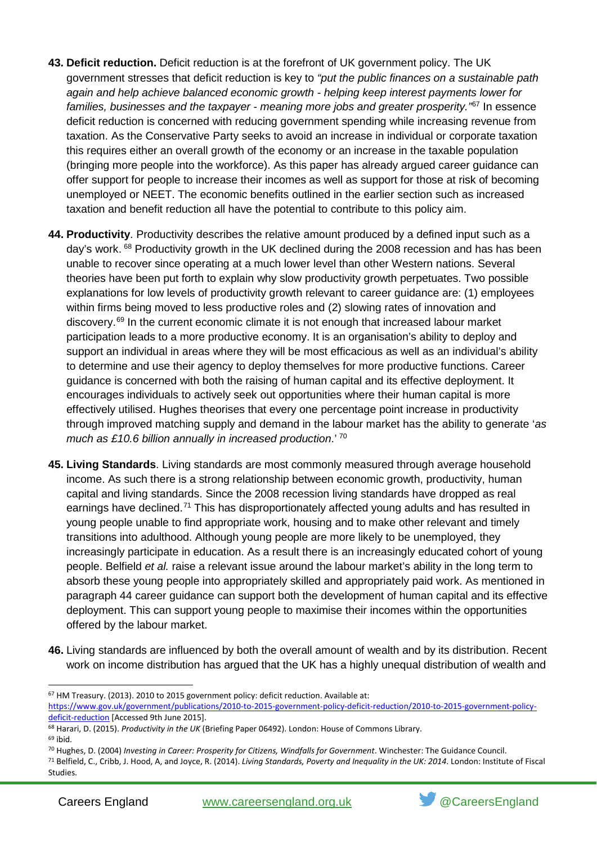- **43. Deficit reduction.** Deficit reduction is at the forefront of UK government policy. The UK government stresses that deficit reduction is key to *"put the public finances on a sustainable path again and help achieve balanced economic growth - helping keep interest payments lower for families, businesses and the taxpayer - meaning more jobs and greater prosperity."*[67](#page-14-0) In essence deficit reduction is concerned with reducing government spending while increasing revenue from taxation. As the Conservative Party seeks to avoid an increase in individual or corporate taxation this requires either an overall growth of the economy or an increase in the taxable population (bringing more people into the workforce). As this paper has already argued career guidance can offer support for people to increase their incomes as well as support for those at risk of becoming unemployed or NEET. The economic benefits outlined in the earlier section such as increased taxation and benefit reduction all have the potential to contribute to this policy aim.
- **44. Productivity**. Productivity describes the relative amount produced by a defined input such as a day's work. <sup>[68](#page-14-1)</sup> Productivity growth in the UK declined during the 2008 recession and has has been unable to recover since operating at a much lower level than other Western nations. Several theories have been put forth to explain why slow productivity growth perpetuates. Two possible explanations for low levels of productivity growth relevant to career guidance are: (1) employees within firms being moved to less productive roles and (2) slowing rates of innovation and discovery.[69](#page-14-2) In the current economic climate it is not enough that increased labour market participation leads to a more productive economy. It is an organisation's ability to deploy and support an individual in areas where they will be most efficacious as well as an individual's ability to determine and use their agency to deploy themselves for more productive functions. Career guidance is concerned with both the raising of human capital and its effective deployment. It encourages individuals to actively seek out opportunities where their human capital is more effectively utilised. Hughes theorises that every one percentage point increase in productivity through improved matching supply and demand in the labour market has the ability to generate '*as much as £10.6 billion annually in increased production*.' [70](#page-14-3)
- **45. Living Standards**. Living standards are most commonly measured through average household income. As such there is a strong relationship between economic growth, productivity, human capital and living standards. Since the 2008 recession living standards have dropped as real earnings have declined.<sup>[71](#page-14-4)</sup> This has disproportionately affected young adults and has resulted in young people unable to find appropriate work, housing and to make other relevant and timely transitions into adulthood. Although young people are more likely to be unemployed, they increasingly participate in education. As a result there is an increasingly educated cohort of young people. Belfield *et al.* raise a relevant issue around the labour market's ability in the long term to absorb these young people into appropriately skilled and appropriately paid work. As mentioned in paragraph 44 career guidance can support both the development of human capital and its effective deployment. This can support young people to maximise their incomes within the opportunities offered by the labour market.
- **46.** Living standards are influenced by both the overall amount of wealth and by its distribution. Recent work on income distribution has argued that the UK has a highly unequal distribution of wealth and

- <span id="page-14-1"></span>
- <span id="page-14-2"></span> $69$  ibid.



<span id="page-14-0"></span> $\overline{a}$ <sup>67</sup> HM Treasury. (2013). 2010 to 2015 government policy: deficit reduction. Available at: [https://www.gov.uk/government/publications/2010-to-2015-government-policy-deficit-reduction/2010-to-2015-government-policy-](https://www.gov.uk/government/publications/2010-to-2015-government-policy-deficit-reduction/2010-to-2015-government-policy-deficit-reduction)deficit-reduction [\[](https://www.gov.uk/government/publications/2010-to-2015-government-policy-deficit-reduction/2010-to-2015-government-policy-deficit-reduction)Accessed 9th June 2015].<br><sup>68</sup> Harari, D. (2015). *Productivity in the UK* (Briefing Paper 06492). London: House of Commons Library.

<span id="page-14-3"></span><sup>70</sup> Hughes, D. (2004) *Investing in Career: Prosperity for Citizens, Windfalls for Government*. Winchester: The Guidance Council.

<span id="page-14-4"></span><sup>71</sup> Belfield, C., Cribb, J. Hood, A, and Joyce, R. (2014). *Living Standards, Poverty and Inequality in the UK: 2014*. London: Institute of Fiscal Studies.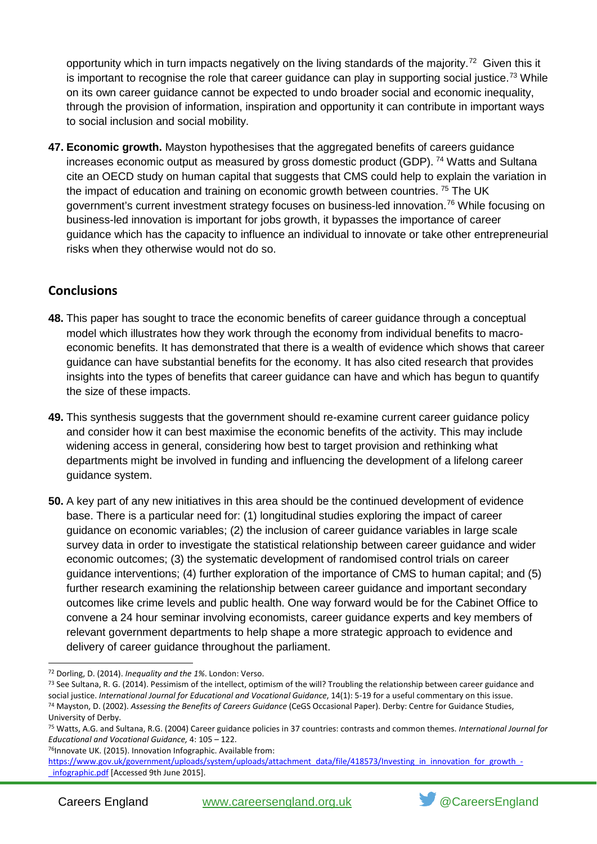opportunity which in turn impacts negatively on the living standards of the majority.[72](#page-15-0) Given this it is important to recognise the role that career guidance can play in supporting social justice.<sup>[73](#page-15-1)</sup> While on its own career guidance cannot be expected to undo broader social and economic inequality, through the provision of information, inspiration and opportunity it can contribute in important ways to social inclusion and social mobility.

**47. Economic growth.** Mayston hypothesises that the aggregated benefits of careers guidance increases economic output as measured by gross domestic product (GDP). <sup>[74](#page-15-2)</sup> Watts and Sultana cite an OECD study on human capital that suggests that CMS could help to explain the variation in the impact of education and training on economic growth between countries. [75](#page-15-3) The UK government's current investment strategy focuses on business-led innovation.<sup>[76](#page-15-4)</sup> While focusing on business-led innovation is important for jobs growth, it bypasses the importance of career guidance which has the capacity to influence an individual to innovate or take other entrepreneurial risks when they otherwise would not do so.

# **Conclusions**

- **48.** This paper has sought to trace the economic benefits of career guidance through a conceptual model which illustrates how they work through the economy from individual benefits to macroeconomic benefits. It has demonstrated that there is a wealth of evidence which shows that career guidance can have substantial benefits for the economy. It has also cited research that provides insights into the types of benefits that career guidance can have and which has begun to quantify the size of these impacts.
- **49.** This synthesis suggests that the government should re-examine current career guidance policy and consider how it can best maximise the economic benefits of the activity. This may include widening access in general, considering how best to target provision and rethinking what departments might be involved in funding and influencing the development of a lifelong career guidance system.
- **50.** A key part of any new initiatives in this area should be the continued development of evidence base. There is a particular need for: (1) longitudinal studies exploring the impact of career guidance on economic variables; (2) the inclusion of career guidance variables in large scale survey data in order to investigate the statistical relationship between career guidance and wider economic outcomes; (3) the systematic development of randomised control trials on career guidance interventions; (4) further exploration of the importance of CMS to human capital; and (5) further research examining the relationship between career guidance and important secondary outcomes like crime levels and public health. One way forward would be for the Cabinet Office to convene a 24 hour seminar involving economists, career guidance experts and key members of relevant government departments to help shape a more strategic approach to evidence and delivery of career guidance throughout the parliament.



 $\ddot{\phantom{a}}$ 

<span id="page-15-1"></span><span id="page-15-0"></span><sup>&</sup>lt;sup>72</sup> Dorling, D. (2014). *Inequality and the 1%*. London: Verso.<br><sup>73</sup> See Sultana, R. G. (2014). Pessimism of the intellect, optimism of the will? Troubling the relationship between career guidance and social justice. International Journal for Educational and Vocational Guidance, 14(1): 5-19 for a useful commentary on this issue.<br><sup>74</sup> Mayston, D. (2002). Assessing the Benefits of Careers Guidance (CeGS Occasional Paper). University of Derby.

<span id="page-15-3"></span><span id="page-15-2"></span><sup>75</sup> Watts, A.G. and Sultana, R.G. (2004) Career guidance policies in 37 countries: contrasts and common themes. *International Journal for Educational and Vocational Guidance,* 4: 105 – 122.

<span id="page-15-4"></span><sup>76</sup>Innovate UK. (2015). Innovation Infographic. Available from:

[https://www.gov.uk/government/uploads/system/uploads/attachment\\_data/file/418573/Investing\\_in\\_innovation\\_for\\_growth\\_-](https://www.gov.uk/government/uploads/system/uploads/attachment_data/file/418573/Investing_in_innovation_for_growth_-_infographic.pdf) [\\_infographic.pdf](https://www.gov.uk/government/uploads/system/uploads/attachment_data/file/418573/Investing_in_innovation_for_growth_-_infographic.pdf) [Accessed 9th June 2015].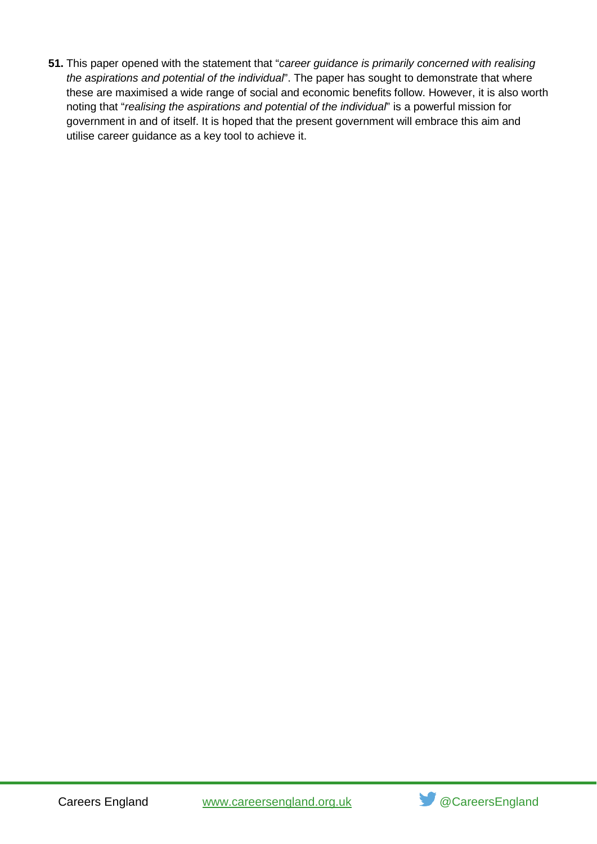**51.** This paper opened with the statement that "*career guidance is primarily concerned with realising the aspirations and potential of the individual*". The paper has sought to demonstrate that where these are maximised a wide range of social and economic benefits follow. However, it is also worth noting that "*realising the aspirations and potential of the individual*" is a powerful mission for government in and of itself. It is hoped that the present government will embrace this aim and utilise career guidance as a key tool to achieve it.

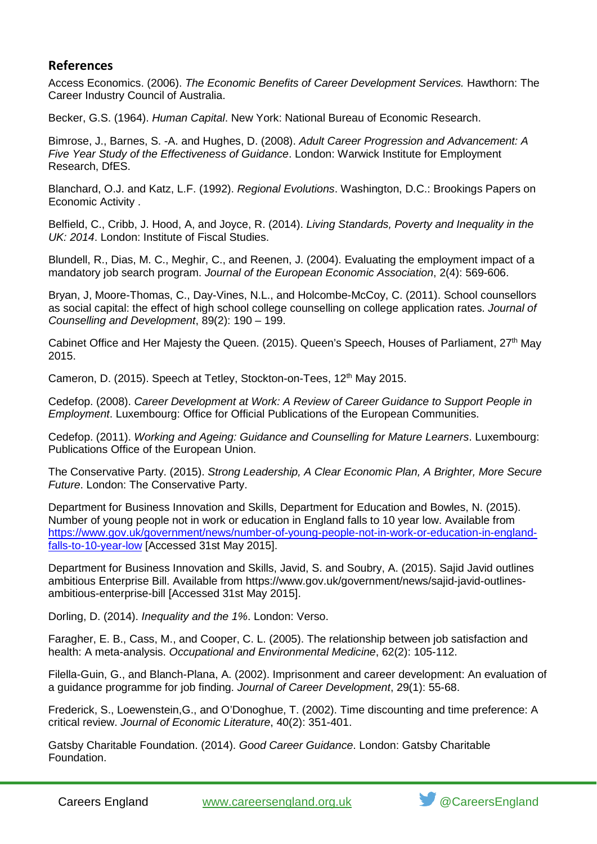#### **References**

Access Economics. (2006). *The Economic Benefits of Career Development Services.* Hawthorn: The Career Industry Council of Australia.

Becker, G.S. (1964). *Human Capital*. New York: National Bureau of Economic Research.

Bimrose, J., Barnes, S. -A. and Hughes, D. (2008). *Adult Career Progression and Advancement: A Five Year Study of the Effectiveness of Guidance*. London: Warwick Institute for Employment Research, DfES.

Blanchard, O.J. and Katz, L.F. (1992). *Regional Evolutions*. Washington, D.C.: Brookings Papers on Economic Activity .

Belfield, C., Cribb, J. Hood, A, and Joyce, R. (2014). *Living Standards, Poverty and Inequality in the UK: 2014*. London: Institute of Fiscal Studies.

Blundell, R., Dias, M. C., Meghir, C., and Reenen, J. (2004). Evaluating the employment impact of a mandatory job search program. *Journal of the European Economic Association*, 2(4): 569-606.

Bryan, J, Moore-Thomas, C., Day-Vines, N.L., and Holcombe-McCoy, C. (2011). School counsellors as social capital: the effect of high school college counselling on college application rates. *Journal of Counselling and Development*, 89(2): 190 – 199.

Cabinet Office and Her Majesty the Queen. (2015). Queen's Speech, Houses of Parliament, 27<sup>th</sup> May 2015.

Cameron, D. (2015). Speech at Tetley, Stockton-on-Tees, 12<sup>th</sup> May 2015.

Cedefop. (2008). *Career Development at Work: A Review of Career Guidance to Support People in Employment*. Luxembourg: Office for Official Publications of the European Communities.

Cedefop. (2011). *Working and Ageing: Guidance and Counselling for Mature Learners*. Luxembourg: Publications Office of the European Union.

The Conservative Party. (2015). *Strong Leadership, A Clear Economic Plan, A Brighter, More Secure Future*. London: The Conservative Party.

Department for Business Innovation and Skills, Department for Education and Bowles, N. (2015). Number of young people not in work or education in England falls to 10 year low. Available from [https://www.gov.uk/government/news/number-of-young-people-not-in-work-or-education-in-england](https://www.gov.uk/government/news/number-of-young-people-not-in-work-or-education-in-england-falls-to-10-year-low)[falls-to-10-year-low](https://www.gov.uk/government/news/number-of-young-people-not-in-work-or-education-in-england-falls-to-10-year-low) [Accessed 31st May 2015].

Department for Business Innovation and Skills, Javid, S. and Soubry, A. (2015). Sajid Javid outlines ambitious Enterprise Bill. Available from https://www.gov.uk/government/news/sajid-javid-outlinesambitious-enterprise-bill [Accessed 31st May 2015].

Dorling, D. (2014). *Inequality and the 1%*. London: Verso.

Faragher, E. B., Cass, M., and Cooper, C. L. (2005). The relationship between job satisfaction and health: A meta-analysis. *Occupational and Environmental Medicine*, 62(2): 105-112.

Filella-Guin, G., and Blanch-Plana, A. (2002). Imprisonment and career development: An evaluation of a guidance programme for job finding. *Journal of Career Development*, 29(1): 55-68.

Frederick, S., Loewenstein,G., and O'Donoghue, T. (2002). Time discounting and time preference: A critical review. *Journal of Economic Literature*, 40(2): 351-401.

Gatsby Charitable Foundation. (2014). *Good Career Guidance*. London: Gatsby Charitable Foundation.

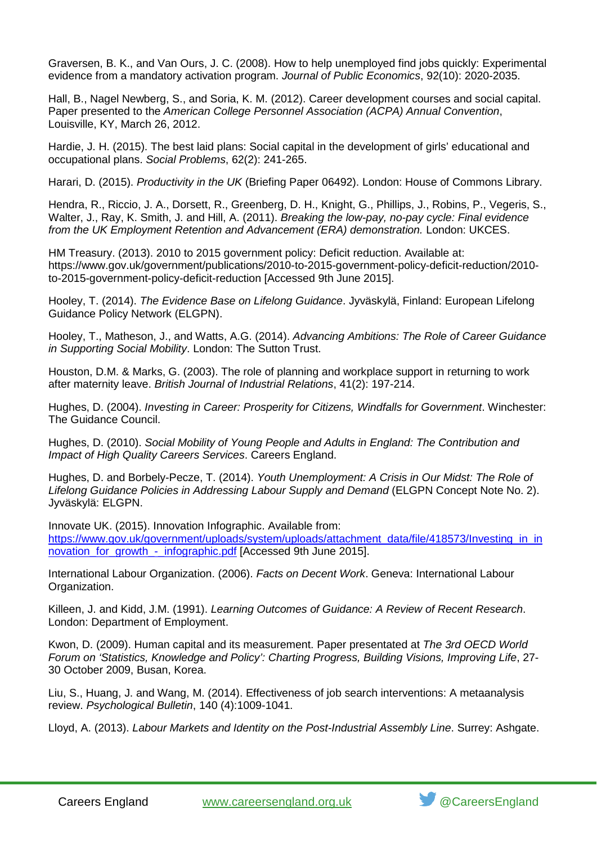Graversen, B. K., and Van Ours, J. C. (2008). How to help unemployed find jobs quickly: Experimental evidence from a mandatory activation program. *Journal of Public Economics*, 92(10): 2020-2035.

Hall, B., Nagel Newberg, S., and Soria, K. M. (2012). Career development courses and social capital. Paper presented to the *American College Personnel Association (ACPA) Annual Convention*, Louisville, KY, March 26, 2012.

Hardie, J. H. (2015). The best laid plans: Social capital in the development of girls' educational and occupational plans. *Social Problems*, 62(2): 241-265.

Harari, D. (2015). *Productivity in the UK* (Briefing Paper 06492). London: House of Commons Library.

Hendra, R., Riccio, J. A., Dorsett, R., Greenberg, D. H., Knight, G., Phillips, J., Robins, P., Vegeris, S., Walter, J., Ray, K. Smith, J. and Hill, A. (2011). *Breaking the low-pay, no-pay cycle: Final evidence from the UK Employment Retention and Advancement (ERA) demonstration.* London: UKCES.

HM Treasury. (2013). 2010 to 2015 government policy: Deficit reduction. Available at: https://www.gov.uk/government/publications/2010-to-2015-government-policy-deficit-reduction/2010 to-2015-government-policy-deficit-reduction [Accessed 9th June 2015].

Hooley, T. (2014). *The Evidence Base on Lifelong Guidance*. Jyväskylä, Finland: European Lifelong Guidance Policy Network (ELGPN).

Hooley, T., Matheson, J., and Watts, A.G. (2014). *Advancing Ambitions: The Role of Career Guidance in Supporting Social Mobility*. London: The Sutton Trust.

Houston, D.M. & Marks, G. (2003). The role of planning and workplace support in returning to work after maternity leave. *British Journal of Industrial Relations*, 41(2): 197-214.

Hughes, D. (2004). *Investing in Career: Prosperity for Citizens, Windfalls for Government*. Winchester: The Guidance Council.

Hughes, D. (2010). *Social Mobility of Young People and Adults in England: The Contribution and Impact of High Quality Careers Services*. Careers England.

Hughes, D. and Borbely-Pecze, T. (2014). *Youth Unemployment: A Crisis in Our Midst: The Role of Lifelong Guidance Policies in Addressing Labour Supply and Demand* (ELGPN Concept Note No. 2). Jyväskylä: ELGPN.

Innovate UK. (2015). Innovation Infographic. Available from: [https://www.gov.uk/government/uploads/system/uploads/attachment\\_data/file/418573/Investing\\_in\\_in](https://www.gov.uk/government/uploads/system/uploads/attachment_data/file/418573/Investing_in_innovation_for_growth_-_infographic.pdf) novation for growth - infographic.pdf [Accessed 9th June 2015].

International Labour Organization. (2006). *Facts on Decent Work*. Geneva: International Labour Organization.

Killeen, J. and Kidd, J.M. (1991). *Learning Outcomes of Guidance: A Review of Recent Research*. London: Department of Employment.

Kwon, D. (2009). Human capital and its measurement. Paper presentated at *The 3rd OECD World Forum on 'Statistics, Knowledge and Policy': Charting Progress, Building Visions, Improving Life*, 27- 30 October 2009, Busan, Korea.

Liu, S., Huang, J. and Wang, M. (2014). Effectiveness of job search interventions: A metaanalysis review. *Psychological Bulletin*, 140 (4):1009-1041.

Lloyd, A. (2013). *Labour Markets and Identity on the Post-Industrial Assembly Line*. Surrey: Ashgate.

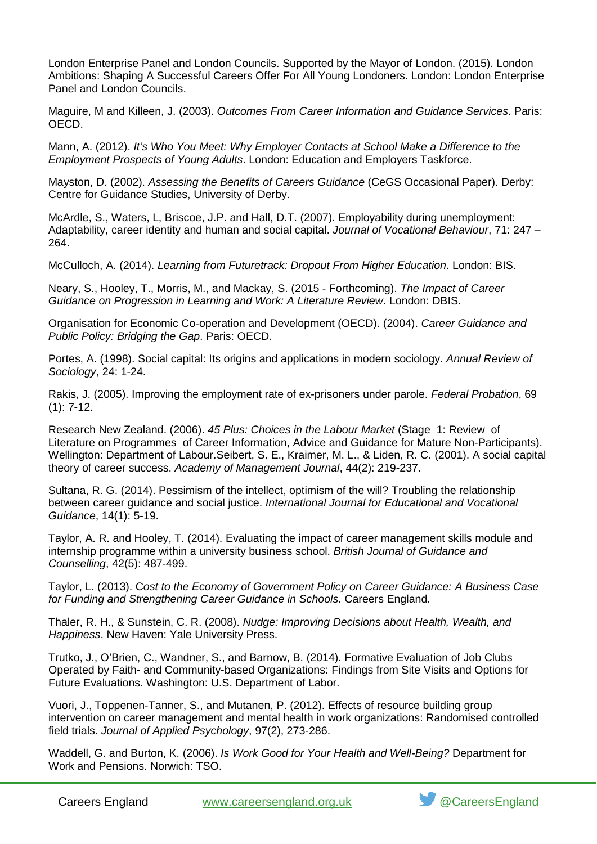London Enterprise Panel and London Councils. Supported by the Mayor of London. (2015). London Ambitions: Shaping A Successful Careers Offer For All Young Londoners. London: London Enterprise Panel and London Councils.

Maguire, M and Killeen, J. (2003). *Outcomes From Career Information and Guidance Services*. Paris: OECD.

Mann, A. (2012). *It's Who You Meet: Why Employer Contacts at School Make a Difference to the Employment Prospects of Young Adults*. London: Education and Employers Taskforce.

Mayston, D. (2002). *Assessing the Benefits of Careers Guidance* (CeGS Occasional Paper). Derby: Centre for Guidance Studies, University of Derby.

McArdle, S., Waters, L, Briscoe, J.P. and Hall, D.T. (2007). Employability during unemployment: Adaptability, career identity and human and social capital. *Journal of Vocational Behaviour*, 71: 247 – 264.

McCulloch, A. (2014). *Learning from Futuretrack: Dropout From Higher Education*. London: BIS.

Neary, S., Hooley, T., Morris, M., and Mackay, S. (2015 - Forthcoming). *The Impact of Career Guidance on Progression in Learning and Work: A Literature Review*. London: DBIS.

Organisation for Economic Co-operation and Development (OECD). (2004). *Career Guidance and Public Policy: Bridging the Gap*. Paris: OECD.

Portes, A. (1998). Social capital: Its origins and applications in modern sociology. *Annual Review of Sociology*, 24: 1-24.

Rakis, J. (2005). Improving the employment rate of ex-prisoners under parole. *Federal Probation*, 69  $(1)$ : 7-12.

Research New Zealand. (2006). *45 Plus: Choices in the Labour Market* (Stage 1: Review of Literature on Programmes of Career Information, Advice and Guidance for Mature Non-Participants). Wellington: Department of Labour.Seibert, S. E., Kraimer, M. L., & Liden, R. C. (2001). A social capital theory of career success. *Academy of Management Journal*, 44(2): 219-237.

Sultana, R. G. (2014). Pessimism of the intellect, optimism of the will? Troubling the relationship between career guidance and social justice. *International Journal for Educational and Vocational Guidance*, 14(1): 5-19.

Taylor, A. R. and Hooley, T. (2014). Evaluating the impact of career management skills module and internship programme within a university business school. *British Journal of Guidance and Counselling*, 42(5): 487-499.

Taylor, L. (2013). C*ost to the Economy of Government Policy on Career Guidance: A Business Case for Funding and Strengthening Career Guidance in Schools*. Careers England.

Thaler, R. H., & Sunstein, C. R. (2008). *Nudge: Improving Decisions about Health, Wealth, and Happiness*. New Haven: Yale University Press.

Trutko, J., O'Brien, C., Wandner, S., and Barnow, B. (2014). Formative Evaluation of Job Clubs Operated by Faith- and Community-based Organizations: Findings from Site Visits and Options for Future Evaluations. Washington: U.S. Department of Labor.

Vuori, J., Toppenen-Tanner, S., and Mutanen, P. (2012). Effects of resource building group intervention on career management and mental health in work organizations: Randomised controlled field trials. *Journal of Applied Psychology*, 97(2), 273-286.

Waddell, G. and Burton, K. (2006). *Is Work Good for Your Health and Well-Being?* Department for Work and Pensions. Norwich: TSO.